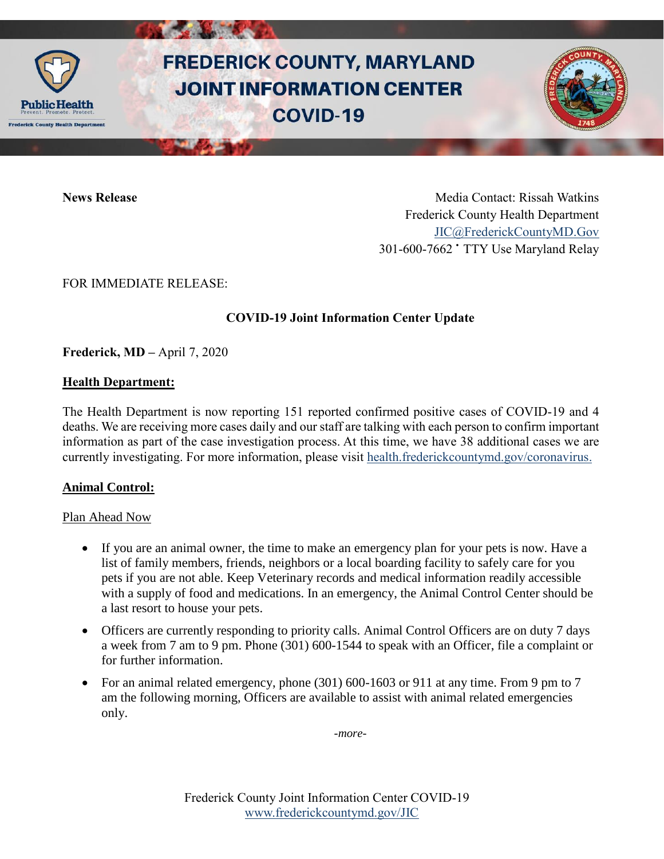

# **FREDERICK COUNTY, MARYLAND JOINT INFORMATION CENTER COVID-19**

**News Release** Media Contact: Rissah Watkins Frederick County Health Department [JIC@FrederickCountyMD.Gov](mailto:JIC@FrederickCountyMD.Gov) 301-600-7662 • TTY Use Maryland Relay

FOR IMMEDIATE RELEASE:

# **COVID-19 Joint Information Center Update**

**Frederick, MD –** April 7, 2020

## **Health Department:**

The Health Department is now reporting 151 reported confirmed positive cases of COVID-19 and 4 deaths. We are receiving more cases daily and our staff are talking with each person to confirm important information as part of the case investigation process. At this time, we have 38 additional cases we are currently investigating. For more information, please visit [health.frederickcountymd.gov/coronavirus.](https://health.frederickcountymd.gov/614/Novel-Coronavirus-COVID-19)

# **Animal Control:**

## Plan Ahead Now

- If you are an animal owner, the time to make an emergency plan for your pets is now. Have a list of family members, friends, neighbors or a local boarding facility to safely care for you pets if you are not able. Keep Veterinary records and medical information readily accessible with a supply of food and medications. In an emergency, the Animal Control Center should be a last resort to house your pets.
- Officers are currently responding to priority calls. Animal Control Officers are on duty 7 days a week from 7 am to 9 pm. Phone (301) 600-1544 to speak with an Officer, file a complaint or for further information.
- For an animal related emergency, phone  $(301)$  600-1603 or 911 at any time. From 9 pm to 7 am the following morning, Officers are available to assist with animal related emergencies only.

*-more-*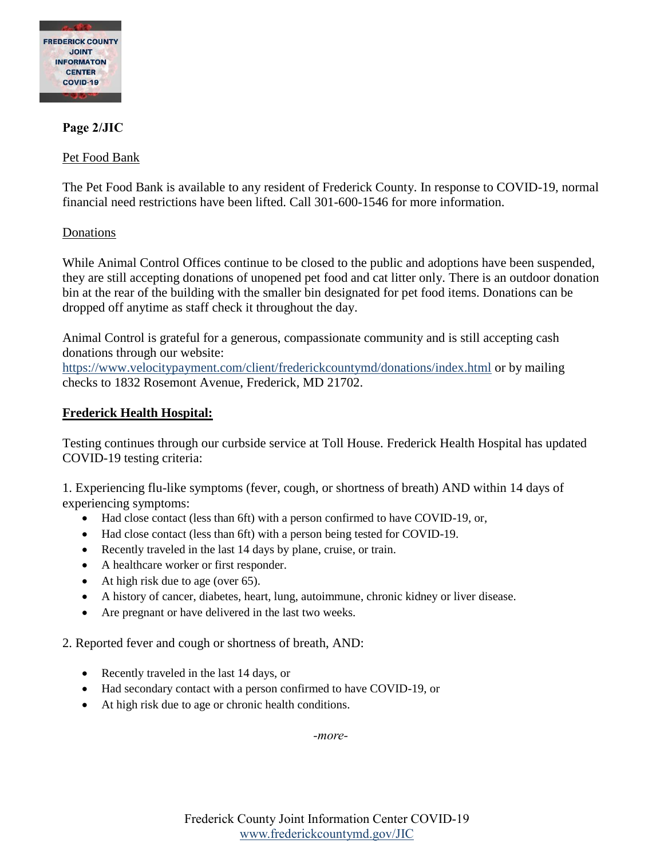

## **Page 2/JIC**

#### Pet Food Bank

The Pet Food Bank is available to any resident of Frederick County. In response to COVID-19, normal financial need restrictions have been lifted. Call 301-600-1546 for more information.

#### Donations

While Animal Control Offices continue to be closed to the public and adoptions have been suspended, they are still accepting donations of unopened pet food and cat litter only. There is an outdoor donation bin at the rear of the building with the smaller bin designated for pet food items. Donations can be dropped off anytime as staff check it throughout the day.

Animal Control is grateful for a generous, compassionate community and is still accepting cash donations through our website:

<https://www.velocitypayment.com/client/frederickcountymd/donations/index.html> or by mailing checks to 1832 Rosemont Avenue, Frederick, MD 21702.

#### **Frederick Health Hospital:**

Testing continues through our curbside service at Toll House. Frederick Health Hospital has updated COVID-19 testing criteria:

1. Experiencing flu-like symptoms (fever, cough, or shortness of breath) AND within 14 days of experiencing symptoms:

- Had close contact (less than 6ft) with a person confirmed to have COVID-19, or,
- Had close contact (less than 6ft) with a person being tested for COVID-19.
- Recently traveled in the last 14 days by plane, cruise, or train.
- A healthcare worker or first responder.
- At high risk due to age (over 65).
- A history of cancer, diabetes, heart, lung, autoimmune, chronic kidney or liver disease.
- Are pregnant or have delivered in the last two weeks.

2. Reported fever and cough or shortness of breath, AND:

- Recently traveled in the last 14 days, or
- Had secondary contact with a person confirmed to have COVID-19, or
- At high risk due to age or chronic health conditions.

*-more-*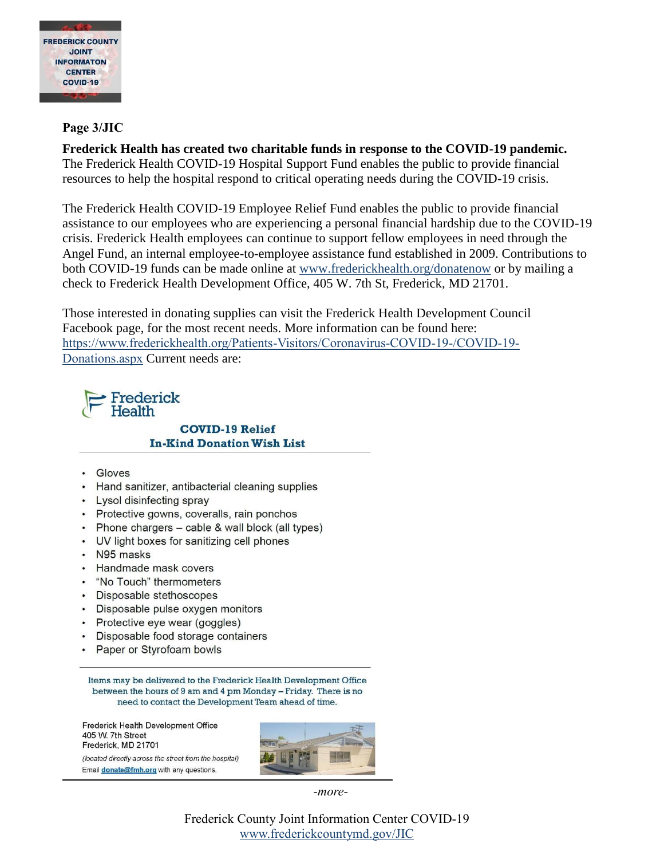

## Page 3/JIC

Frederick Health has created two charitable funds in response to the COVID-19 pandemic. The Frederick Health COVID-19 Hospital Support Fund enables the public to provide financial resources to help the hospital respond to critical operating needs during the COVID-19 crisis.

The Frederick Health COVID-19 Employee Relief Fund enables the public to provide financial assistance to our employees who are experiencing a personal financial hardship due to the COVID-19 crisis. Frederick Health employees can continue to support fellow employees in need through the Angel Fund, an internal employee-to-employee assistance fund established in 2009. Contributions to both COVID-19 funds can be made online at www.frederickhealth.org/donatenow or by mailing a check to Frederick Health Development Office, 405 W. 7th St, Frederick, MD 21701.

Those interested in donating supplies can visit the Frederick Health Development Council Facebook page, for the most recent needs. More information can be found here: https://www.frederickhealth.org/Patients-Visitors/Coronavirus-COVID-19-/COVID-19-Donations.aspx Current needs are:

# Frederick **Health**

**COVID-19 Relief In-Kind Donation Wish List** 

- · Gloves
- Hand sanitizer, antibacterial cleaning supplies
- Lysol disinfecting spray
- Protective gowns, coveralls, rain ponchos
- Phone chargers cable & wall block (all types)
- UV light boxes for sanitizing cell phones
- N95 masks
- Handmade mask covers
- . "No Touch" thermometers
- Disposable stethoscopes
- Disposable pulse oxygen monitors
- Protective eye wear (goggles)
- Disposable food storage containers  $\bullet$
- Paper or Styrofoam bowls  $\bullet$

Items may be delivered to the Frederick Health Development Office between the hours of 9 am and 4 pm Monday - Friday. There is no need to contact the Development Team ahead of time.

Frederick Health Development Office 405 W. 7th Street Frederick, MD 21701

(located directly across the street from the hospital) Email **donate@fmh.org** with any questions.



-more-

Frederick County Joint Information Center COVID-19 www.frederickcountymd.gov/JIC